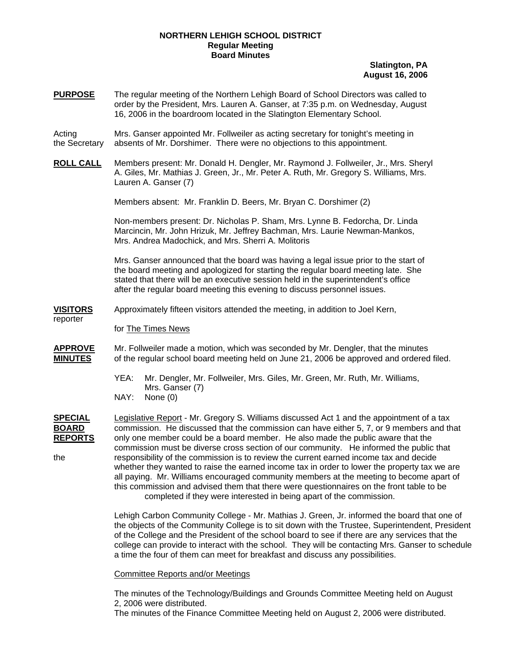### **NORTHERN LEHIGH SCHOOL DISTRICT Regular Meeting Board Minutes**

### **Slatington, PA August 16, 2006**

**PURPOSE** The regular meeting of the Northern Lehigh Board of School Directors was called to order by the President, Mrs. Lauren A. Ganser, at 7:35 p.m. on Wednesday, August 16, 2006 in the boardroom located in the Slatington Elementary School.

Acting Mrs. Ganser appointed Mr. Follweiler as acting secretary for tonight's meeting in the Secretary absents of Mr. Dorshimer. There were no objections to this appointment.

**ROLL CALL** Members present: Mr. Donald H. Dengler, Mr. Raymond J. Follweiler, Jr., Mrs. Sheryl A. Giles, Mr. Mathias J. Green, Jr., Mr. Peter A. Ruth, Mr. Gregory S. Williams, Mrs. Lauren A. Ganser (7)

Members absent: Mr. Franklin D. Beers, Mr. Bryan C. Dorshimer (2)

Non-members present: Dr. Nicholas P. Sham, Mrs. Lynne B. Fedorcha, Dr. Linda Marcincin, Mr. John Hrizuk, Mr. Jeffrey Bachman, Mrs. Laurie Newman-Mankos, Mrs. Andrea Madochick, and Mrs. Sherri A. Molitoris

Mrs. Ganser announced that the board was having a legal issue prior to the start of the board meeting and apologized for starting the regular board meeting late. She stated that there will be an executive session held in the superintendent's office after the regular board meeting this evening to discuss personnel issues.

**VISITORS** Approximately fifteen visitors attended the meeting, in addition to Joel Kern,

### for The Times News

reporter

- **APPROVE** Mr. Follweiler made a motion, which was seconded by Mr. Dengler, that the minutes **MINUTES** of the regular school board meeting held on June 21, 2006 be approved and ordered filed.
	- YEA: Mr. Dengler, Mr. Follweiler, Mrs. Giles, Mr. Green, Mr. Ruth, Mr. Williams, Mrs. Ganser (7)
	- NAY: None (0)

**SPECIAL** Legislative Report - Mr. Gregory S. Williams discussed Act 1 and the appointment of a tax **BOARD** commission. He discussed that the commission can have either 5, 7, or 9 members and that **REPORTS** only one member could be a board member. He also made the public aware that the commission must be diverse cross section of our community. He informed the public that the responsibility of the commission is to review the current earned income tax and decide whether they wanted to raise the earned income tax in order to lower the property tax we are all paying. Mr. Williams encouraged community members at the meeting to become apart of this commission and advised them that there were questionnaires on the front table to be completed if they were interested in being apart of the commission.

> Lehigh Carbon Community College - Mr. Mathias J. Green, Jr. informed the board that one of the objects of the Community College is to sit down with the Trustee, Superintendent, President of the College and the President of the school board to see if there are any services that the college can provide to interact with the school. They will be contacting Mrs. Ganser to schedule a time the four of them can meet for breakfast and discuss any possibilities.

### Committee Reports and/or Meetings

The minutes of the Technology/Buildings and Grounds Committee Meeting held on August 2, 2006 were distributed.

The minutes of the Finance Committee Meeting held on August 2, 2006 were distributed.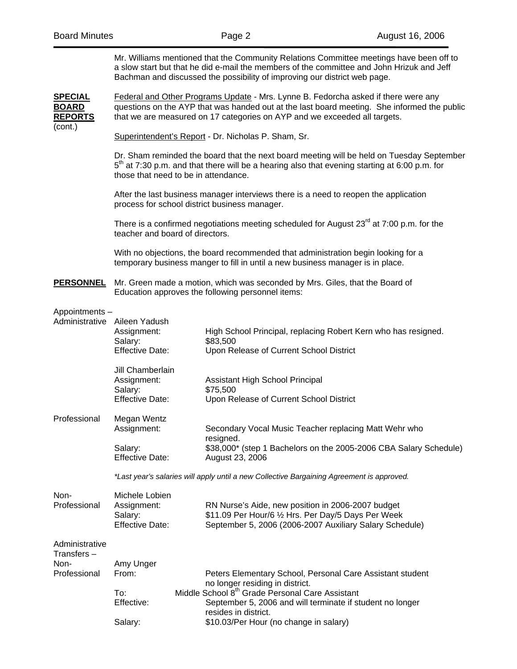(cont.)

| Mr. Williams mentioned that the Community Relations Committee meetings have been off to   |
|-------------------------------------------------------------------------------------------|
| a slow start but that he did e-mail the members of the committee and John Hrizuk and Jeff |
| Bachman and discussed the possibility of improving our district web page.                 |

**SPECIAL** Federal and Other Programs Update - Mrs. Lynne B. Fedorcha asked if there were any **BOARD** questions on the AYP that was handed out at the last board meeting. She informed the public **REPORTS** that we are measured on 17 categories on AYP and we exceeded all targets.

Superintendent's Report - Dr. Nicholas P. Sham, Sr.

Dr. Sham reminded the board that the next board meeting will be held on Tuesday September  $5<sup>th</sup>$  at 7:30 p.m. and that there will be a hearing also that evening starting at 6:00 p.m. for those that need to be in attendance.

After the last business manager interviews there is a need to reopen the application process for school district business manager.

There is a confirmed negotiations meeting scheduled for August  $23<sup>rd</sup>$  at 7:00 p.m. for the teacher and board of directors.

 With no objections, the board recommended that administration begin looking for a temporary business manger to fill in until a new business manager is in place.

**PERSONNEL** Mr. Green made a motion, which was seconded by Mrs. Giles, that the Board of Education approves the following personnel items:

#### Appointments –

| Administrative                | Aileen Yadush<br>Assignment:<br>Salary:                                                   |  | High School Principal, replacing Robert Kern who has resigned.<br>\$83,500                                                                                          |  |  |
|-------------------------------|-------------------------------------------------------------------------------------------|--|---------------------------------------------------------------------------------------------------------------------------------------------------------------------|--|--|
|                               | <b>Effective Date:</b>                                                                    |  | Upon Release of Current School District                                                                                                                             |  |  |
|                               | Jill Chamberlain<br>Assignment:<br>Salary:                                                |  | Assistant High School Principal<br>\$75,500                                                                                                                         |  |  |
|                               | <b>Effective Date:</b>                                                                    |  | Upon Release of Current School District                                                                                                                             |  |  |
| Professional                  | Megan Wentz<br>Assignment:                                                                |  | Secondary Vocal Music Teacher replacing Matt Wehr who<br>resigned.                                                                                                  |  |  |
|                               | Salary:<br><b>Effective Date:</b>                                                         |  | \$38,000* (step 1 Bachelors on the 2005-2006 CBA Salary Schedule)<br>August 23, 2006                                                                                |  |  |
|                               | *Last year's salaries will apply until a new Collective Bargaining Agreement is approved. |  |                                                                                                                                                                     |  |  |
| Non-<br>Professional          | Michele Lobien<br>Assignment:<br>Salary:<br><b>Effective Date:</b>                        |  | RN Nurse's Aide, new position in 2006-2007 budget<br>\$11.09 Per Hour/6 1/2 Hrs. Per Day/5 Days Per Week<br>September 5, 2006 (2006-2007 Auxiliary Salary Schedule) |  |  |
| Administrative<br>Transfers – |                                                                                           |  |                                                                                                                                                                     |  |  |
| Non-<br>Professional          | Amy Unger<br>From:                                                                        |  | Peters Elementary School, Personal Care Assistant student<br>no longer residing in district.                                                                        |  |  |
|                               | To:<br>Effective:                                                                         |  | Middle School 8 <sup>th</sup> Grade Personal Care Assistant<br>September 5, 2006 and will terminate if student no longer<br>resides in district.                    |  |  |
|                               | Salary:                                                                                   |  | \$10.03/Per Hour (no change in salary)                                                                                                                              |  |  |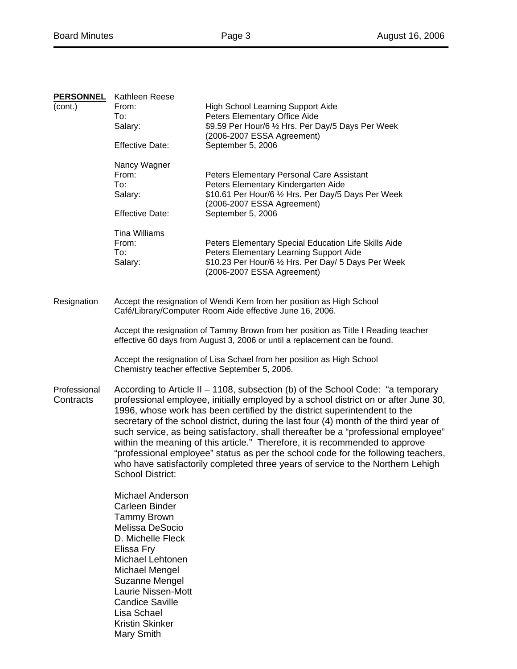|                           | <b>PERSONNEL</b> Kathleen Reese                                                                                                                                                                                                                                                                                                                                                                                                                                                                                                                                                                                                                                                                                       |                                                                                   |  |  |  |
|---------------------------|-----------------------------------------------------------------------------------------------------------------------------------------------------------------------------------------------------------------------------------------------------------------------------------------------------------------------------------------------------------------------------------------------------------------------------------------------------------------------------------------------------------------------------------------------------------------------------------------------------------------------------------------------------------------------------------------------------------------------|-----------------------------------------------------------------------------------|--|--|--|
| (cont.)                   | From:                                                                                                                                                                                                                                                                                                                                                                                                                                                                                                                                                                                                                                                                                                                 | <b>High School Learning Support Aide</b>                                          |  |  |  |
|                           | To:                                                                                                                                                                                                                                                                                                                                                                                                                                                                                                                                                                                                                                                                                                                   | Peters Elementary Office Aide                                                     |  |  |  |
|                           | Salary:                                                                                                                                                                                                                                                                                                                                                                                                                                                                                                                                                                                                                                                                                                               | \$9.59 Per Hour/6 1/2 Hrs. Per Day/5 Days Per Week                                |  |  |  |
|                           |                                                                                                                                                                                                                                                                                                                                                                                                                                                                                                                                                                                                                                                                                                                       | (2006-2007 ESSA Agreement)                                                        |  |  |  |
|                           | <b>Effective Date:</b>                                                                                                                                                                                                                                                                                                                                                                                                                                                                                                                                                                                                                                                                                                | September 5, 2006                                                                 |  |  |  |
|                           | Nancy Wagner                                                                                                                                                                                                                                                                                                                                                                                                                                                                                                                                                                                                                                                                                                          |                                                                                   |  |  |  |
|                           | From:                                                                                                                                                                                                                                                                                                                                                                                                                                                                                                                                                                                                                                                                                                                 | Peters Elementary Personal Care Assistant                                         |  |  |  |
|                           | To:                                                                                                                                                                                                                                                                                                                                                                                                                                                                                                                                                                                                                                                                                                                   | Peters Elementary Kindergarten Aide                                               |  |  |  |
|                           | Salary:                                                                                                                                                                                                                                                                                                                                                                                                                                                                                                                                                                                                                                                                                                               | \$10.61 Per Hour/6 1/2 Hrs. Per Day/5 Days Per Week<br>(2006-2007 ESSA Agreement) |  |  |  |
|                           | <b>Effective Date:</b>                                                                                                                                                                                                                                                                                                                                                                                                                                                                                                                                                                                                                                                                                                | September 5, 2006                                                                 |  |  |  |
|                           | <b>Tina Williams</b>                                                                                                                                                                                                                                                                                                                                                                                                                                                                                                                                                                                                                                                                                                  |                                                                                   |  |  |  |
|                           | From:                                                                                                                                                                                                                                                                                                                                                                                                                                                                                                                                                                                                                                                                                                                 | Peters Elementary Special Education Life Skills Aide                              |  |  |  |
|                           | To:                                                                                                                                                                                                                                                                                                                                                                                                                                                                                                                                                                                                                                                                                                                   | Peters Elementary Learning Support Aide                                           |  |  |  |
|                           | Salary:                                                                                                                                                                                                                                                                                                                                                                                                                                                                                                                                                                                                                                                                                                               | \$10.23 Per Hour/6 1/2 Hrs. Per Day/ 5 Days Per Week                              |  |  |  |
|                           |                                                                                                                                                                                                                                                                                                                                                                                                                                                                                                                                                                                                                                                                                                                       | (2006-2007 ESSA Agreement)                                                        |  |  |  |
| Resignation               |                                                                                                                                                                                                                                                                                                                                                                                                                                                                                                                                                                                                                                                                                                                       | Accept the resignation of Wendi Kern from her position as High School             |  |  |  |
|                           |                                                                                                                                                                                                                                                                                                                                                                                                                                                                                                                                                                                                                                                                                                                       | Café/Library/Computer Room Aide effective June 16, 2006.                          |  |  |  |
|                           |                                                                                                                                                                                                                                                                                                                                                                                                                                                                                                                                                                                                                                                                                                                       |                                                                                   |  |  |  |
|                           | Accept the resignation of Tammy Brown from her position as Title I Reading teacher<br>effective 60 days from August 3, 2006 or until a replacement can be found.                                                                                                                                                                                                                                                                                                                                                                                                                                                                                                                                                      |                                                                                   |  |  |  |
|                           | Accept the resignation of Lisa Schael from her position as High School<br>Chemistry teacher effective September 5, 2006.                                                                                                                                                                                                                                                                                                                                                                                                                                                                                                                                                                                              |                                                                                   |  |  |  |
| Professional<br>Contracts | According to Article II – 1108, subsection (b) of the School Code: "a temporary<br>professional employee, initially employed by a school district on or after June 30,<br>1996, whose work has been certified by the district superintendent to the<br>secretary of the school district, during the last four (4) month of the third year of<br>such service, as being satisfactory, shall thereafter be a "professional employee"<br>within the meaning of this article." Therefore, it is recommended to approve<br>"professional employee" status as per the school code for the following teachers,<br>who have satisfactorily completed three years of service to the Northern Lehigh<br><b>School District:</b> |                                                                                   |  |  |  |
|                           | <b>Michael Anderson</b><br><b>Carleen Binder</b><br><b>Tammy Brown</b><br>Melissa DeSocio<br>D. Michelle Fleck<br>Elissa Fry<br>Michael Lehtonen<br>Michael Mengel<br>Suzanne Mengel<br><b>Laurie Nissen-Mott</b><br><b>Candice Saville</b><br>Lisa Schael<br><b>Kristin Skinker</b><br>Mary Smith                                                                                                                                                                                                                                                                                                                                                                                                                    |                                                                                   |  |  |  |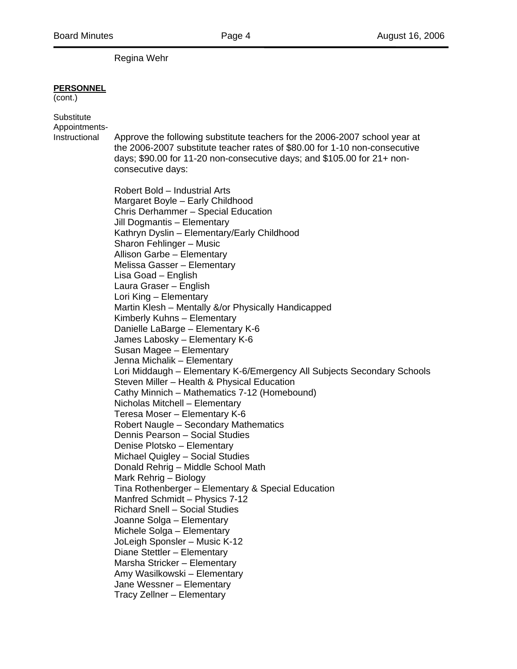Regina Wehr

### **PERSONNEL**

(cont.)

**Substitute** Appointments-

Instructional Approve the following substitute teachers for the 2006-2007 school year at the 2006-2007 substitute teacher rates of \$80.00 for 1-10 non-consecutive days; \$90.00 for 11-20 non-consecutive days; and \$105.00 for 21+ non consecutive days:

> Robert Bold – Industrial Arts Margaret Boyle – Early Childhood Chris Derhammer – Special Education Jill Dogmantis – Elementary Kathryn Dyslin – Elementary/Early Childhood Sharon Fehlinger – Music Allison Garbe – Elementary Melissa Gasser – Elementary Lisa Goad – English Laura Graser – English Lori King – Elementary Martin Klesh – Mentally &/or Physically Handicapped Kimberly Kuhns – Elementary Danielle LaBarge – Elementary K-6 James Labosky – Elementary K-6 Susan Magee – Elementary Jenna Michalik – Elementary Lori Middaugh – Elementary K-6/Emergency All Subjects Secondary Schools Steven Miller – Health & Physical Education Cathy Minnich – Mathematics 7-12 (Homebound) Nicholas Mitchell – Elementary Teresa Moser – Elementary K-6 Robert Naugle – Secondary Mathematics Dennis Pearson – Social Studies Denise Plotsko – Elementary Michael Quigley – Social Studies Donald Rehrig – Middle School Math Mark Rehrig – Biology Tina Rothenberger – Elementary & Special Education Manfred Schmidt – Physics 7-12 Richard Snell – Social Studies Joanne Solga – Elementary Michele Solga – Elementary JoLeigh Sponsler – Music K-12 Diane Stettler – Elementary Marsha Stricker – Elementary Amy Wasilkowski – Elementary Jane Wessner – Elementary Tracy Zellner – Elementary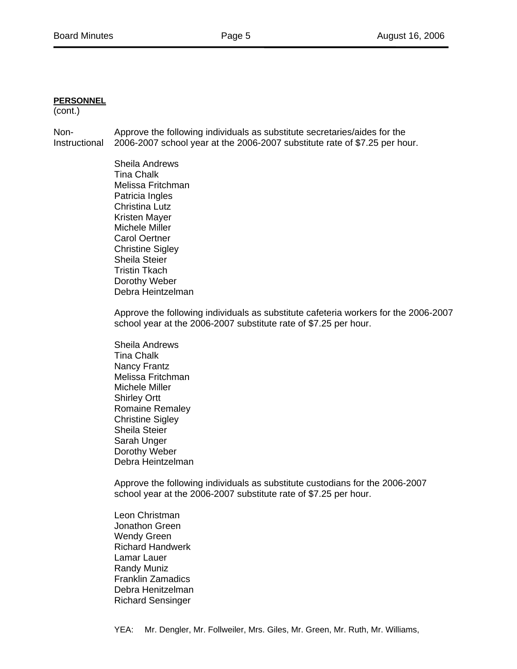# **PERSONNEL**

(cont.)

Non- Approve the following individuals as substitute secretaries/aides for the Instructional 2006-2007 school year at the 2006-2007 substitute rate of \$7.25 per hour.

> Sheila Andrews Tina Chalk Melissa Fritchman Patricia Ingles Christina Lutz Kristen Mayer Michele Miller Carol Oertner Christine Sigley Sheila Steier Tristin Tkach Dorothy Weber Debra Heintzelman

Approve the following individuals as substitute cafeteria workers for the 2006-2007 school year at the 2006-2007 substitute rate of \$7.25 per hour.

Sheila Andrews Tina Chalk Nancy Frantz Melissa Fritchman Michele Miller Shirley Ortt Romaine Remaley Christine Sigley Sheila Steier Sarah Unger Dorothy Weber Debra Heintzelman

Approve the following individuals as substitute custodians for the 2006-2007 school year at the 2006-2007 substitute rate of \$7.25 per hour.

Leon Christman Jonathon Green Wendy Green Richard Handwerk Lamar Lauer Randy Muniz Franklin Zamadics Debra Henitzelman Richard Sensinger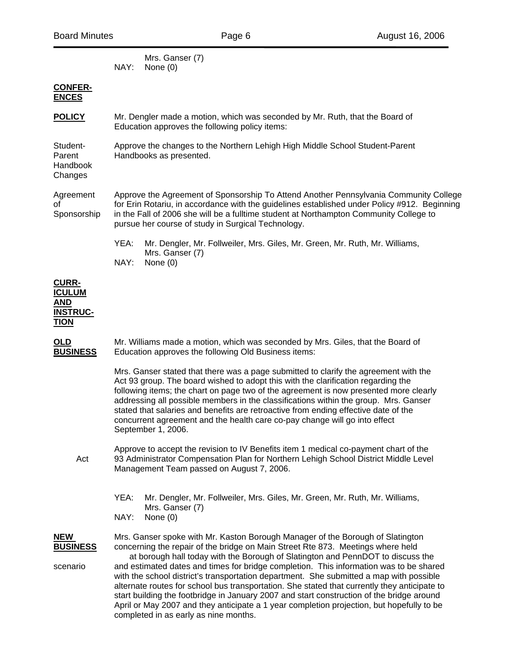Mrs. Ganser (7) NAY: None (0)

## **CONFER-ENCES**

| <b>POLICY</b> | Mr. Dengler made a motion, which was seconded by Mr. Ruth, that the Board of |
|---------------|------------------------------------------------------------------------------|
|               | Education approves the following policy items:                               |

Student- Approve the changes to the Northern Lehigh High Middle School Student-Parent Parent Handbooks as presented.

Handbook Changes

Agreement Approve the Agreement of Sponsorship To Attend Another Pennsylvania Community College of for Erin Rotariu, in accordance with the guidelines established under Policy #912. Beginning Sponsorship in the Fall of 2006 she will be a fulltime student at Northampton Community College to pursue her course of study in Surgical Technology.

> YEA: Mr. Dengler, Mr. Follweiler, Mrs. Giles, Mr. Green, Mr. Ruth, Mr. Williams, Mrs. Ganser (7) NAY: None (0)

**CURR-ICULUM AND INSTRUC-TION**

**OLD** Mr. Williams made a motion, which was seconded by Mrs. Giles, that the Board of **BUSINESS** Education approves the following Old Business items:

> Mrs. Ganser stated that there was a page submitted to clarify the agreement with the Act 93 group. The board wished to adopt this with the clarification regarding the following items; the chart on page two of the agreement is now presented more clearly addressing all possible members in the classifications within the group. Mrs. Ganser stated that salaries and benefits are retroactive from ending effective date of the concurrent agreement and the health care co-pay change will go into effect September 1, 2006.

 Approve to accept the revision to IV Benefits item 1 medical co-payment chart of the Act 93 Administrator Compensation Plan for Northern Lehigh School District Middle Level Management Team passed on August 7, 2006.

> YEA: Mr. Dengler, Mr. Follweiler, Mrs. Giles, Mr. Green, Mr. Ruth, Mr. Williams, Mrs. Ganser (7)

NAY: None (0)

**NEW** Mrs. Ganser spoke with Mr. Kaston Borough Manager of the Borough of Slatington **BUSINESS** concerning the repair of the bridge on Main Street Rte 873. Meetings where held at borough hall today with the Borough of Slatington and PennDOT to discuss the scenario and estimated dates and times for bridge completion. This information was to be shared with the school district's transportation department. She submitted a map with possible alternate routes for school bus transportation. She stated that currently they anticipate to start building the footbridge in January 2007 and start construction of the bridge around April or May 2007 and they anticipate a 1 year completion projection, but hopefully to be completed in as early as nine months.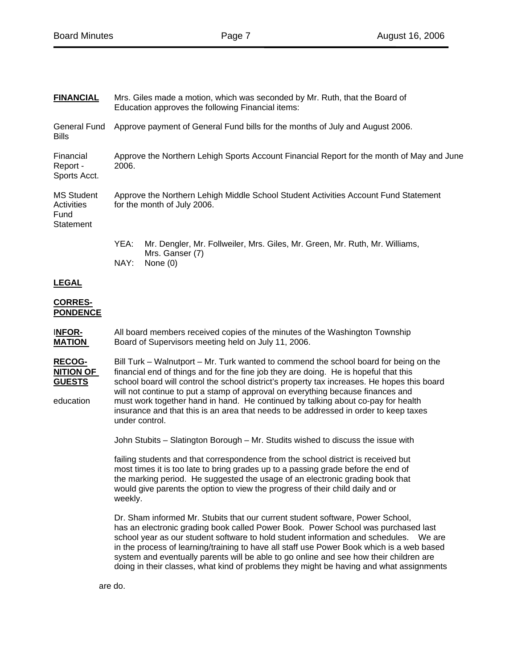| <b>FINANCIAL</b>                                                | Mrs. Giles made a motion, which was seconded by Mr. Ruth, that the Board of<br>Education approves the following Financial items:                                                                                                                                                                                                                                                                                                                                                                                                                              |  |  |  |  |  |
|-----------------------------------------------------------------|---------------------------------------------------------------------------------------------------------------------------------------------------------------------------------------------------------------------------------------------------------------------------------------------------------------------------------------------------------------------------------------------------------------------------------------------------------------------------------------------------------------------------------------------------------------|--|--|--|--|--|
| General Fund<br><b>Bills</b>                                    | Approve payment of General Fund bills for the months of July and August 2006.                                                                                                                                                                                                                                                                                                                                                                                                                                                                                 |  |  |  |  |  |
| Financial<br>Report -<br>Sports Acct.                           | Approve the Northern Lehigh Sports Account Financial Report for the month of May and June<br>2006.                                                                                                                                                                                                                                                                                                                                                                                                                                                            |  |  |  |  |  |
| <b>MS Student</b><br>Activities<br>Fund<br><b>Statement</b>     | Approve the Northern Lehigh Middle School Student Activities Account Fund Statement<br>for the month of July 2006.                                                                                                                                                                                                                                                                                                                                                                                                                                            |  |  |  |  |  |
|                                                                 | YEA:<br>Mr. Dengler, Mr. Follweiler, Mrs. Giles, Mr. Green, Mr. Ruth, Mr. Williams,<br>Mrs. Ganser (7)<br>NAY:<br>None $(0)$                                                                                                                                                                                                                                                                                                                                                                                                                                  |  |  |  |  |  |
| <b>LEGAL</b>                                                    |                                                                                                                                                                                                                                                                                                                                                                                                                                                                                                                                                               |  |  |  |  |  |
| <b>CORRES-</b><br><b>PONDENCE</b>                               |                                                                                                                                                                                                                                                                                                                                                                                                                                                                                                                                                               |  |  |  |  |  |
| <b>INFOR-</b><br><b>MATION</b>                                  | All board members received copies of the minutes of the Washington Township<br>Board of Supervisors meeting held on July 11, 2006.                                                                                                                                                                                                                                                                                                                                                                                                                            |  |  |  |  |  |
| <b>RECOG-</b><br><b>NITION OF</b><br><b>GUESTS</b><br>education | Bill Turk – Walnutport – Mr. Turk wanted to commend the school board for being on the<br>financial end of things and for the fine job they are doing. He is hopeful that this<br>school board will control the school district's property tax increases. He hopes this board<br>will not continue to put a stamp of approval on everything because finances and<br>must work together hand in hand. He continued by talking about co-pay for health<br>insurance and that this is an area that needs to be addressed in order to keep taxes<br>under control. |  |  |  |  |  |
|                                                                 | John Stubits - Slatington Borough - Mr. Studits wished to discuss the issue with                                                                                                                                                                                                                                                                                                                                                                                                                                                                              |  |  |  |  |  |
|                                                                 | failing students and that correspondence from the school district is received but<br>most times it is too late to bring grades up to a passing grade before the end of<br>the marking period. He suggested the usage of an electronic grading book that<br>would give parents the option to view the progress of their child daily and or<br>weekly.                                                                                                                                                                                                          |  |  |  |  |  |
|                                                                 | Dr. Sham informed Mr. Stubits that our current student software, Power School,<br>has an electronic grading book called Power Book. Power School was purchased last<br>school year as our student software to hold student information and schedules.  We are<br>in the process of learning/training to have all staff use Power Book which is a web based<br>system and eventually parents will be able to go online and see how their children are<br>doing in their classes, what kind of problems they might be having and what assignments               |  |  |  |  |  |
|                                                                 | are do.                                                                                                                                                                                                                                                                                                                                                                                                                                                                                                                                                       |  |  |  |  |  |